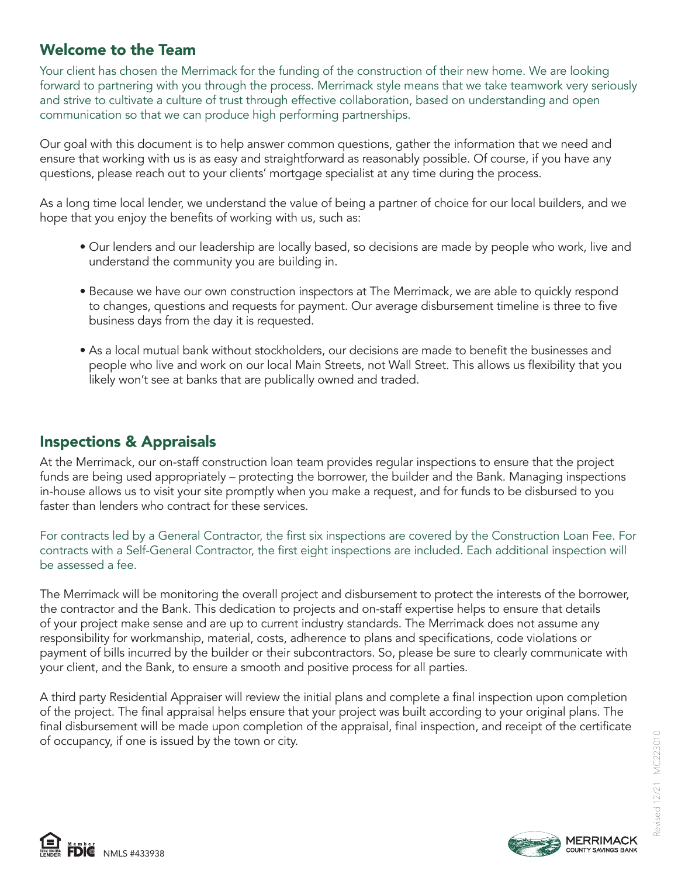# Welcome to the Team

Your client has chosen the Merrimack for the funding of the construction of their new home. We are looking forward to partnering with you through the process. Merrimack style means that we take teamwork very seriously and strive to cultivate a culture of trust through effective collaboration, based on understanding and open communication so that we can produce high performing partnerships.

Our goal with this document is to help answer common questions, gather the information that we need and ensure that working with us is as easy and straightforward as reasonably possible. Of course, if you have any questions, please reach out to your clients' mortgage specialist at any time during the process.

As a long time local lender, we understand the value of being a partner of choice for our local builders, and we hope that you enjoy the benefits of working with us, such as:

- Our lenders and our leadership are locally based, so decisions are made by people who work, live and understand the community you are building in.
- Because we have our own construction inspectors at The Merrimack, we are able to quickly respond to changes, questions and requests for payment. Our average disbursement timeline is three to five business days from the day it is requested.
- As a local mutual bank without stockholders, our decisions are made to benefit the businesses and people who live and work on our local Main Streets, not Wall Street. This allows us flexibility that you likely won't see at banks that are publically owned and traded.

# Inspections & Appraisals

At the Merrimack, our on-staff construction loan team provides regular inspections to ensure that the project funds are being used appropriately – protecting the borrower, the builder and the Bank. Managing inspections in-house allows us to visit your site promptly when you make a request, and for funds to be disbursed to you faster than lenders who contract for these services.

For contracts led by a General Contractor, the first six inspections are covered by the Construction Loan Fee. For contracts with a Self-General Contractor, the first eight inspections are included. Each additional inspection will be assessed a fee.

The Merrimack will be monitoring the overall project and disbursement to protect the interests of the borrower, the contractor and the Bank. This dedication to projects and on-staff expertise helps to ensure that details of your project make sense and are up to current industry standards. The Merrimack does not assume any responsibility for workmanship, material, costs, adherence to plans and specifications, code violations or payment of bills incurred by the builder or their subcontractors. So, please be sure to clearly communicate with your client, and the Bank, to ensure a smooth and positive process for all parties.

A third party Residential Appraiser will review the initial plans and complete a final inspection upon completion of the project. The final appraisal helps ensure that your project was built according to your original plans. The final disbursement will be made upon completion of the appraisal, final inspection, and receipt of the certificate of occupancy, if one is issued by the town or city.



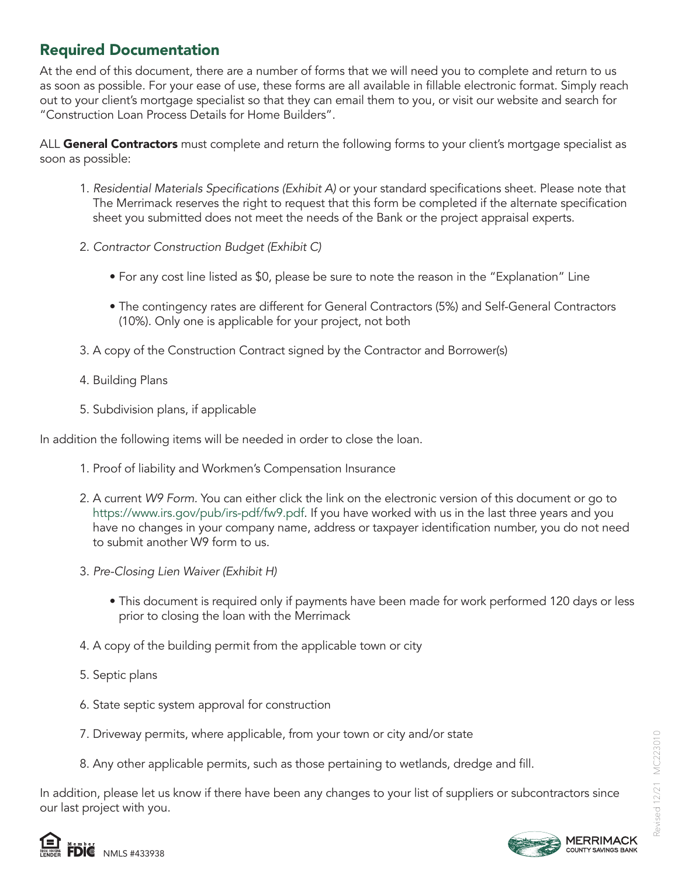# Required Documentation

At the end of this document, there are a number of forms that we will need you to complete and return to us as soon as possible. For your ease of use, these forms are all available in fillable electronic format. Simply reach out to your client's mortgage specialist so that they can email them to you, or visit our website and search for "Construction Loan Process Details for Home Builders".

ALL General Contractors must complete and return the following forms to your client's mortgage specialist as soon as possible:

- 1. Residential Materials Specifications (Exhibit A) or your standard specifications sheet. Please note that The Merrimack reserves the right to request that this form be completed if the alternate specification sheet you submitted does not meet the needs of the Bank or the project appraisal experts.
- 2. Contractor Construction Budget (Exhibit C)
	- For any cost line listed as \$0, please be sure to note the reason in the "Explanation" Line
	- The contingency rates are different for General Contractors (5%) and Self-General Contractors (10%). Only one is applicable for your project, not both
- 3. A copy of the Construction Contract signed by the Contractor and Borrower(s)
- 4. Building Plans
- 5. Subdivision plans, if applicable

In addition the following items will be needed in order to close the loan.

- 1. Proof of liability and Workmen's Compensation Insurance
- 2. A current W9 Form. You can either click the link on the electronic version of this document or go to https://www.irs.gov/pub/irs-pdf/fw9.pdf. If you have worked with us in the last three years and you have no changes in your company name, address or taxpayer identification number, you do not need to submit another W9 form to us.
- 3. Pre-Closing Lien Waiver (Exhibit H)
	- This document is required only if payments have been made for work performed 120 days or less prior to closing the loan with the Merrimack
- 4. A copy of the building permit from the applicable town or city
- 5. Septic plans
- 6. State septic system approval for construction
- 7. Driveway permits, where applicable, from your town or city and/or state
- 8. Any other applicable permits, such as those pertaining to wetlands, dredge and fill.

In addition, please let us know if there have been any changes to your list of suppliers or subcontractors since our last project with you.



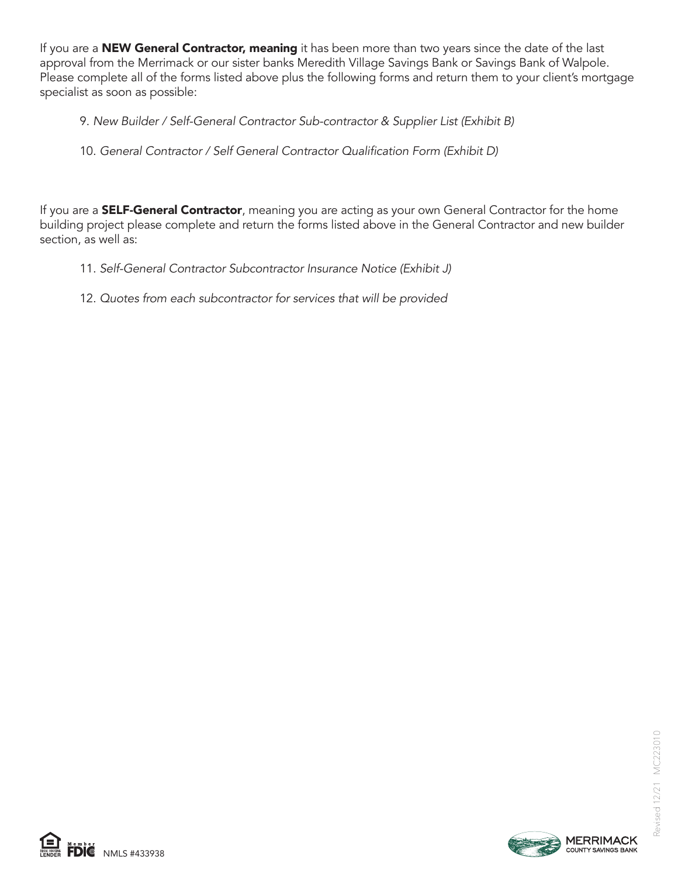If you are a **NEW General Contractor, meaning** it has been more than two years since the date of the last approval from the Merrimack or our sister banks Meredith Village Savings Bank or Savings Bank of Walpole. Please complete all of the forms listed above plus the following forms and return them to your client's mortgage specialist as soon as possible:

9. New Builder / Self-General Contractor Sub-contractor & Supplier List (Exhibit B)

## 10. General Contractor / Self General Contractor Qualification Form (Exhibit D)

If you are a **SELF-General Contractor**, meaning you are acting as your own General Contractor for the home building project please complete and return the forms listed above in the General Contractor and new builder section, as well as:

- 11. Self-General Contractor Subcontractor Insurance Notice (Exhibit J)
- 12. Quotes from each subcontractor for services that will be provided





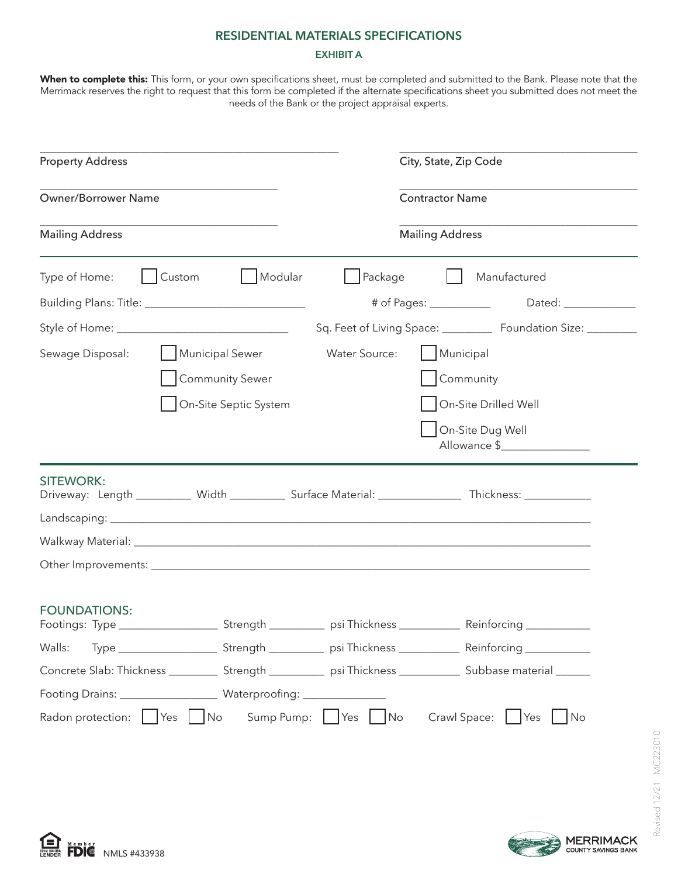#### **RESIDENTIAL MATERIALS SPECIFICATIONS**

### **EXHIBIT A**

**When to complete this:** This form, or your own specifications sheet, must be completed and submitted to the Bank. Please note that the Merrimack reserves the right to request that this form be completed if the alternate specifications sheet you submitted does not meet the needs of the Bank or the project appraisal experts.

| <b>Property Address</b>                                                                                                               | City, State, Zip Code                                             |
|---------------------------------------------------------------------------------------------------------------------------------------|-------------------------------------------------------------------|
| <b>Owner/Borrower Name</b>                                                                                                            | <b>Contractor Name</b>                                            |
| <b>Mailing Address</b>                                                                                                                | <b>Mailing Address</b>                                            |
| Custom<br>  Modular<br>$ $ Package<br>Type of Home:                                                                                   | Manufactured<br>$\mathbf{1}$                                      |
|                                                                                                                                       |                                                                   |
|                                                                                                                                       | Sq. Feet of Living Space: ____________ Foundation Size: _________ |
| Sewage Disposal:<br>Municipal Sewer<br><b>Water Source:</b>                                                                           | Municipal                                                         |
| <b>Community Sewer</b>                                                                                                                | Community                                                         |
| On-Site Septic System                                                                                                                 | On-Site Drilled Well                                              |
|                                                                                                                                       | On-Site Dug Well<br>Allowance \$                                  |
| <b>SITEWORK:</b><br>Driveway: Length __________ Width __________ Surface Material: _______________ Thickness: ___________             |                                                                   |
|                                                                                                                                       |                                                                   |
|                                                                                                                                       |                                                                   |
|                                                                                                                                       |                                                                   |
| <b>FOUNDATIONS:</b><br>Footings: Type _______________________Strength ______________ psi Thickness __________________________________ |                                                                   |
| Walls:                                                                                                                                |                                                                   |
| Concrete Slab: Thickness _____________Strength _______________ psi Thickness _________________ Subbase material _______               |                                                                   |
|                                                                                                                                       |                                                                   |
| Sump Pump:     Yes  <br>Radon protection:<br>Yes<br>No<br>No                                                                          | Crawl Space:<br>Yes<br>No                                         |



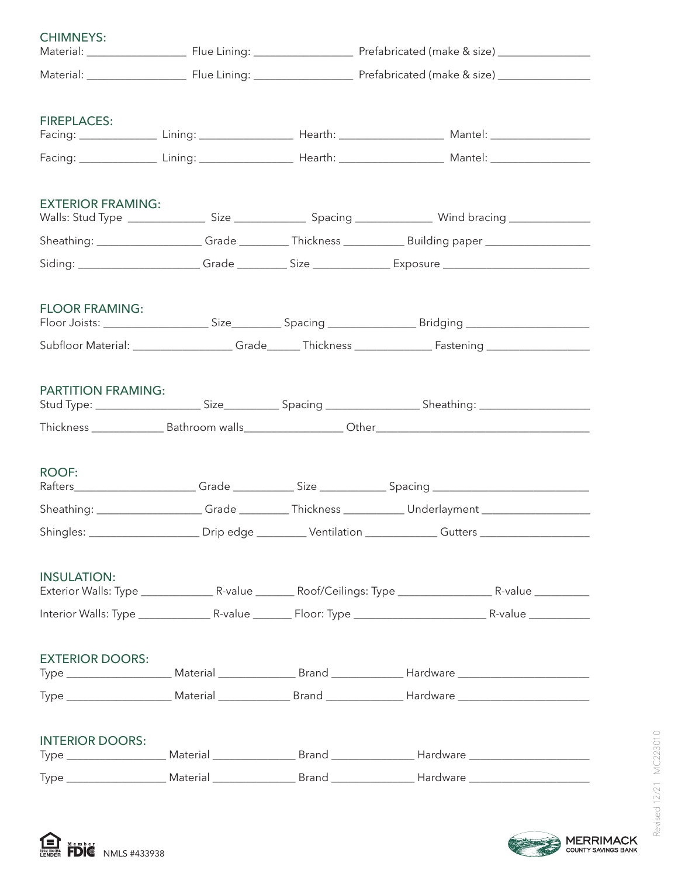| <b>CHIMNEYS:</b>          |  |                                                                                                           |  |
|---------------------------|--|-----------------------------------------------------------------------------------------------------------|--|
|                           |  |                                                                                                           |  |
| <b>FIREPLACES:</b>        |  |                                                                                                           |  |
|                           |  |                                                                                                           |  |
| <b>EXTERIOR FRAMING:</b>  |  |                                                                                                           |  |
|                           |  |                                                                                                           |  |
|                           |  | Siding: _______________________Grade __________Size ________________Exposure ____________________________ |  |
| <b>FLOOR FRAMING:</b>     |  |                                                                                                           |  |
|                           |  |                                                                                                           |  |
| <b>PARTITION FRAMING:</b> |  |                                                                                                           |  |
|                           |  |                                                                                                           |  |
| <b>ROOF:</b>              |  | Rafters______________________Grade _____________Size ______________Spacing _________________________      |  |
|                           |  | Sheathing: __________________Grade _________Thickness ____________Underlayment ____________________       |  |
|                           |  | Shingles: ______________________Drip edge __________Ventilation ____________Gutters ________________      |  |
| <b>INSULATION:</b>        |  |                                                                                                           |  |
|                           |  |                                                                                                           |  |
| <b>EXTERIOR DOORS:</b>    |  |                                                                                                           |  |
|                           |  |                                                                                                           |  |
| <b>INTERIOR DOORS:</b>    |  |                                                                                                           |  |
|                           |  |                                                                                                           |  |



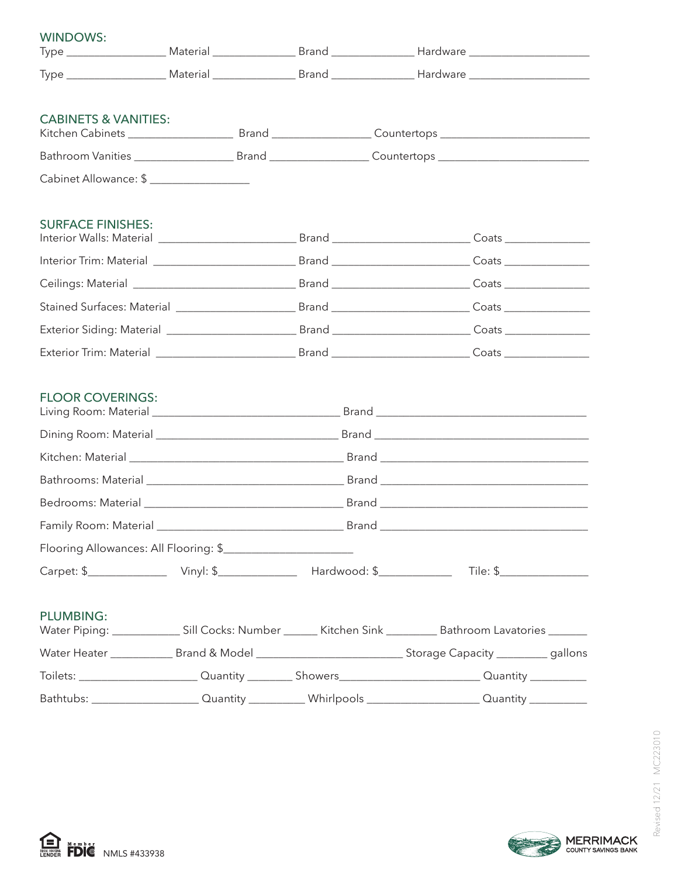| <b>WINDOWS:</b>                 |  |                                                                                                                       |
|---------------------------------|--|-----------------------------------------------------------------------------------------------------------------------|
|                                 |  |                                                                                                                       |
| <b>CABINETS &amp; VANITIES:</b> |  |                                                                                                                       |
|                                 |  | Bathroom Vanities _________________________Brand ____________________Countertops _____________________________        |
| Cabinet Allowance: \$           |  |                                                                                                                       |
| <b>SURFACE FINISHES:</b>        |  |                                                                                                                       |
|                                 |  |                                                                                                                       |
|                                 |  |                                                                                                                       |
|                                 |  |                                                                                                                       |
|                                 |  |                                                                                                                       |
|                                 |  |                                                                                                                       |
| <b>FLOOR COVERINGS:</b>         |  |                                                                                                                       |
|                                 |  |                                                                                                                       |
|                                 |  |                                                                                                                       |
|                                 |  |                                                                                                                       |
|                                 |  |                                                                                                                       |
| Family Room: Material           |  |                                                                                                                       |
|                                 |  |                                                                                                                       |
|                                 |  |                                                                                                                       |
| <b>PLUMBING:</b>                |  | Water Piping: ___________________ Sill Cocks: Number ________ Kitchen Sink ____________ Bathroom Lavatories ________  |
|                                 |  |                                                                                                                       |
|                                 |  | Toilets: ___________________________Quantity ___________Showers_______________________________Quantity ____________   |
|                                 |  | Bathtubs: ___________________________Quantity _______________Whirlpools _________________________Quantity ___________ |





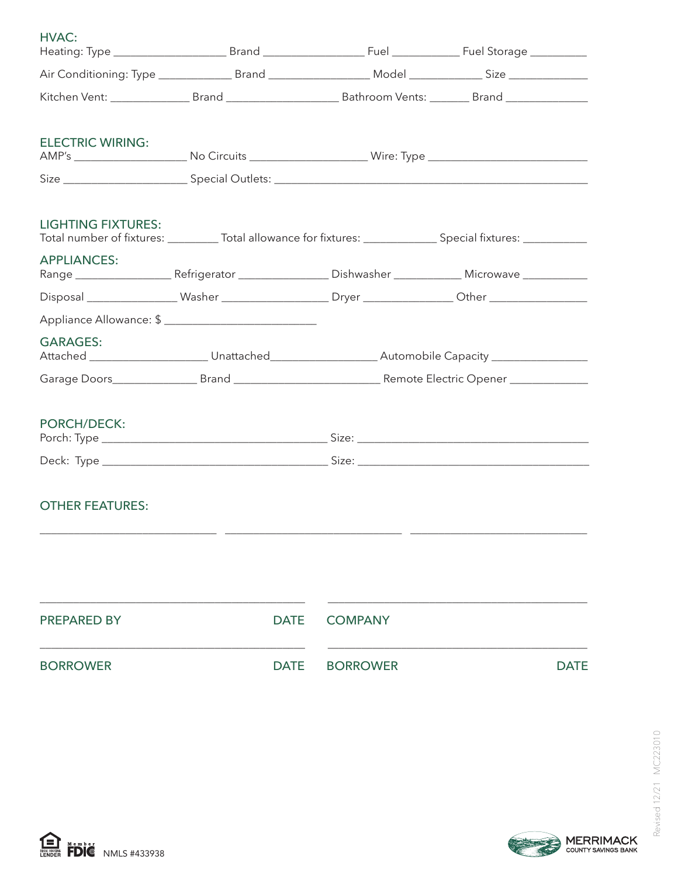| HVAC:                     |             |                |                                                                                                                 |
|---------------------------|-------------|----------------|-----------------------------------------------------------------------------------------------------------------|
|                           |             |                |                                                                                                                 |
|                           |             |                |                                                                                                                 |
| <b>ELECTRIC WIRING:</b>   |             |                |                                                                                                                 |
|                           |             |                |                                                                                                                 |
| <b>LIGHTING FIXTURES:</b> |             |                | Total number of fixtures: ___________ Total allowance for fixtures: ______________ Special fixtures: __________ |
| <b>APPLIANCES:</b>        |             |                |                                                                                                                 |
|                           |             |                |                                                                                                                 |
|                           |             |                |                                                                                                                 |
| <b>GARAGES:</b>           |             |                |                                                                                                                 |
|                           |             |                |                                                                                                                 |
| <b>PORCH/DECK:</b>        |             |                |                                                                                                                 |
|                           |             |                |                                                                                                                 |
| <b>OTHER FEATURES:</b>    |             |                |                                                                                                                 |
|                           |             |                |                                                                                                                 |
| <b>PREPARED BY</b>        | <b>DATE</b> | <b>COMPANY</b> |                                                                                                                 |

BORROWER DATE BORROWER DATE DATE

Revised 12/21 MC223010



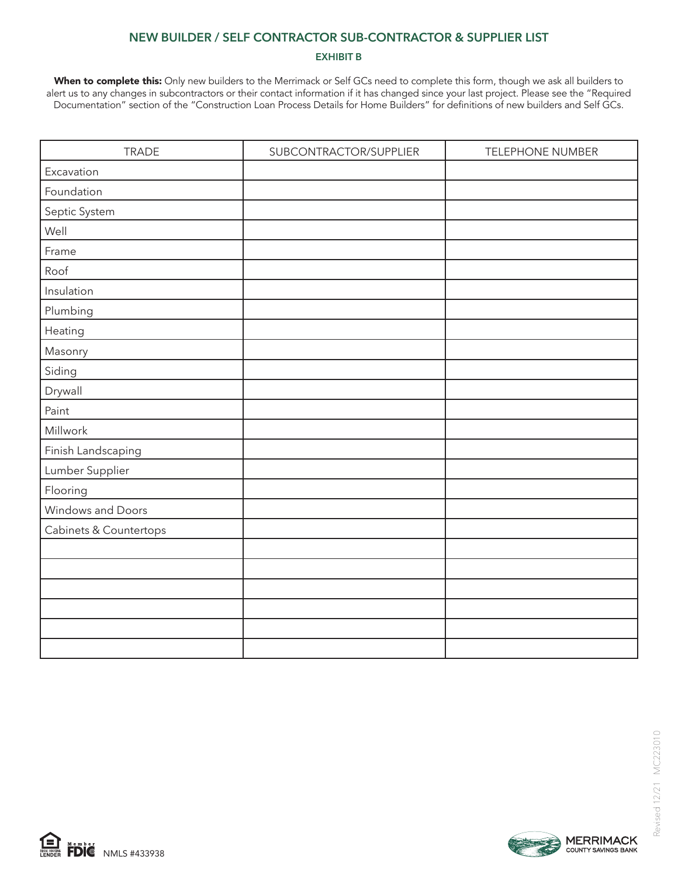### **NEW BUILDER / SELF CONTRACTOR SUB-CONTRACTOR & SUPPLIER LIST**

#### **EXHIBIT B**

When to complete this: Only new builders to the Merrimack or Self GCs need to complete this form, though we ask all builders to alert us to any changes in subcontractors or their contact information if it has changed since your last project. Please see the "Required Documentation" section of the "Construction Loan Process Details for Home Builders" for definitions of new builders and Self GCs.

| <b>TRADE</b>           | SUBCONTRACTOR/SUPPLIER | <b>TELEPHONE NUMBER</b> |
|------------------------|------------------------|-------------------------|
| Excavation             |                        |                         |
| Foundation             |                        |                         |
| Septic System          |                        |                         |
| Well                   |                        |                         |
| Frame                  |                        |                         |
| Roof                   |                        |                         |
| Insulation             |                        |                         |
| Plumbing               |                        |                         |
| Heating                |                        |                         |
| Masonry                |                        |                         |
| Siding                 |                        |                         |
| Drywall                |                        |                         |
| Paint                  |                        |                         |
| Millwork               |                        |                         |
| Finish Landscaping     |                        |                         |
| Lumber Supplier        |                        |                         |
| Flooring               |                        |                         |
| Windows and Doors      |                        |                         |
| Cabinets & Countertops |                        |                         |
|                        |                        |                         |
|                        |                        |                         |
|                        |                        |                         |
|                        |                        |                         |
|                        |                        |                         |
|                        |                        |                         |



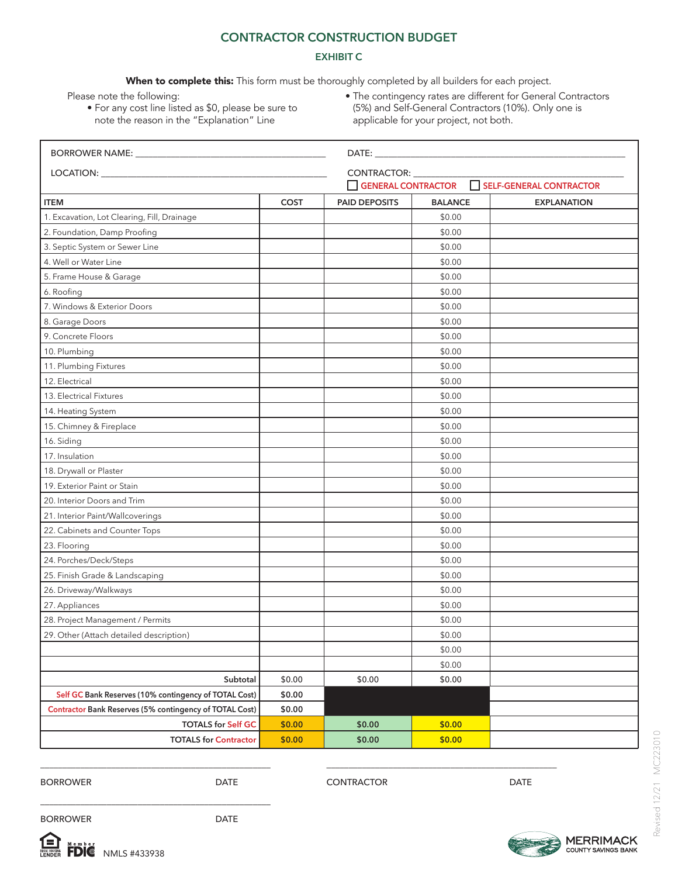### **CONTRACTOR CONSTRUCTION BUDGET**

#### **EXHIBIT C**

When to complete this: This form must be thoroughly completed by all builders for each project.

Please note the following:

- For any cost line listed as \$0, please be sure to note the reason in the "Explanation" Line
- The contingency rates are different for General Contractors (5%) and Self-General Contractors (10%). Only one is applicable for your project, not both.

|                                                         |             | DATE: the contract of the contract of the contract of the contract of the contract of the contract of the contract of the contract of the contract of the contract of the contract of the contract of the contract of the cont |                 |                    |  |  |
|---------------------------------------------------------|-------------|--------------------------------------------------------------------------------------------------------------------------------------------------------------------------------------------------------------------------------|-----------------|--------------------|--|--|
|                                                         |             |                                                                                                                                                                                                                                | CONTRACTOR: ___ |                    |  |  |
|                                                         |             | SELF-GENERAL CONTRACTOR<br>GENERAL CONTRACTOR                                                                                                                                                                                  |                 |                    |  |  |
| <b>ITEM</b>                                             | <b>COST</b> | <b>PAID DEPOSITS</b>                                                                                                                                                                                                           | <b>BALANCE</b>  | <b>EXPLANATION</b> |  |  |
| 1. Excavation, Lot Clearing, Fill, Drainage             |             |                                                                                                                                                                                                                                | \$0.00          |                    |  |  |
| 2. Foundation, Damp Proofing                            |             |                                                                                                                                                                                                                                | \$0.00          |                    |  |  |
| 3. Septic System or Sewer Line                          |             |                                                                                                                                                                                                                                | \$0.00          |                    |  |  |
| 4. Well or Water Line                                   |             |                                                                                                                                                                                                                                | \$0.00          |                    |  |  |
| 5. Frame House & Garage                                 |             |                                                                                                                                                                                                                                | \$0.00          |                    |  |  |
| 6. Roofing                                              |             |                                                                                                                                                                                                                                | \$0.00          |                    |  |  |
| 7. Windows & Exterior Doors                             |             |                                                                                                                                                                                                                                | \$0.00          |                    |  |  |
| 8. Garage Doors                                         |             |                                                                                                                                                                                                                                | \$0.00          |                    |  |  |
| 9. Concrete Floors                                      |             |                                                                                                                                                                                                                                | \$0.00          |                    |  |  |
| 10. Plumbing                                            |             |                                                                                                                                                                                                                                | \$0.00          |                    |  |  |
| 11. Plumbing Fixtures                                   |             |                                                                                                                                                                                                                                | \$0.00          |                    |  |  |
| 12. Electrical                                          |             |                                                                                                                                                                                                                                | \$0.00          |                    |  |  |
| 13. Electrical Fixtures                                 |             |                                                                                                                                                                                                                                | \$0.00          |                    |  |  |
| 14. Heating System                                      |             |                                                                                                                                                                                                                                | \$0.00          |                    |  |  |
| 15. Chimney & Fireplace                                 |             |                                                                                                                                                                                                                                | \$0.00          |                    |  |  |
| 16. Siding                                              |             |                                                                                                                                                                                                                                | \$0.00          |                    |  |  |
| 17. Insulation                                          |             |                                                                                                                                                                                                                                | \$0.00          |                    |  |  |
| 18. Drywall or Plaster                                  |             |                                                                                                                                                                                                                                | \$0.00          |                    |  |  |
| 19. Exterior Paint or Stain                             |             |                                                                                                                                                                                                                                | \$0.00          |                    |  |  |
| 20. Interior Doors and Trim                             |             |                                                                                                                                                                                                                                | \$0.00          |                    |  |  |
| 21. Interior Paint/Wallcoverings                        |             |                                                                                                                                                                                                                                | \$0.00          |                    |  |  |
| 22. Cabinets and Counter Tops                           |             |                                                                                                                                                                                                                                | \$0.00          |                    |  |  |
| 23. Flooring                                            |             |                                                                                                                                                                                                                                | \$0.00          |                    |  |  |
| 24. Porches/Deck/Steps                                  |             |                                                                                                                                                                                                                                | \$0.00          |                    |  |  |
| 25. Finish Grade & Landscaping                          |             |                                                                                                                                                                                                                                | \$0.00          |                    |  |  |
| 26. Driveway/Walkways                                   |             |                                                                                                                                                                                                                                | \$0.00          |                    |  |  |
| 27. Appliances                                          |             |                                                                                                                                                                                                                                | \$0.00          |                    |  |  |
| 28. Project Management / Permits                        |             |                                                                                                                                                                                                                                | \$0.00          |                    |  |  |
| 29. Other (Attach detailed description)                 |             |                                                                                                                                                                                                                                | \$0.00          |                    |  |  |
|                                                         |             |                                                                                                                                                                                                                                | \$0.00          |                    |  |  |
|                                                         |             |                                                                                                                                                                                                                                | \$0.00          |                    |  |  |
| Subtotal                                                | \$0.00      | \$0.00                                                                                                                                                                                                                         | \$0.00          |                    |  |  |
| Self GC Bank Reserves (10% contingency of TOTAL Cost)   | \$0.00      |                                                                                                                                                                                                                                |                 |                    |  |  |
| Contractor Bank Reserves (5% contingency of TOTAL Cost) | \$0.00      |                                                                                                                                                                                                                                |                 |                    |  |  |
| <b>TOTALS for Self GC</b>                               | \$0.00      | \$0.00                                                                                                                                                                                                                         | \$0.00          |                    |  |  |
| <b>TOTALS for Contractor</b>                            | \$0.00      | \$0.00                                                                                                                                                                                                                         | \$0.00          |                    |  |  |

BORROWER DATE

CONTRACTOR DATE

\_\_\_\_\_\_\_\_\_\_\_\_\_\_\_\_\_\_\_\_\_\_\_\_\_\_\_\_\_\_\_\_\_\_\_\_\_\_\_\_\_\_\_\_\_\_\_\_\_\_\_\_

BORROWER DATE



\_\_\_\_\_\_\_\_\_\_\_\_\_\_\_\_\_\_\_\_\_\_\_\_\_\_\_\_\_\_\_\_\_\_\_\_\_\_\_\_\_\_\_\_\_\_\_\_\_\_\_\_

\_\_\_\_\_\_\_\_\_\_\_\_\_\_\_\_\_\_\_\_\_\_\_\_\_\_\_\_\_\_\_\_\_\_\_\_\_\_\_\_\_\_\_\_\_\_\_\_\_\_\_\_

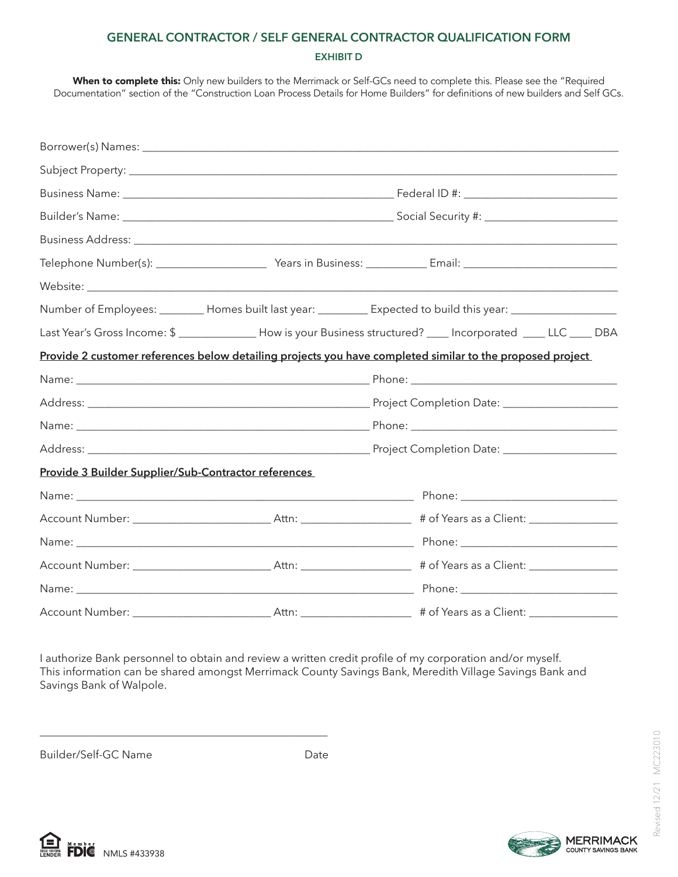## **GENERAL CONTRACTOR / SELF GENERAL CONTRACTOR QUALIFICATION FORM EXHIBIT D**

When to complete this: Only new builders to the Merrimack or Self-GCs need to complete this. Please see the "Required Documentation" section of the "Construction Loan Process Details for Home Builders" for definitions of new builders and Self GCs.

|                                                      | Number of Employees: ________ Homes built last year: _________ Expected to build this year: _________________     |  |  |  |  |
|------------------------------------------------------|-------------------------------------------------------------------------------------------------------------------|--|--|--|--|
|                                                      | Last Year's Gross Income: \$ _______________ How is your Business structured? ____ Incorporated ____ LLC ____ DBA |  |  |  |  |
|                                                      | Provide 2 customer references below detailing projects you have completed similar to the proposed project         |  |  |  |  |
|                                                      |                                                                                                                   |  |  |  |  |
|                                                      |                                                                                                                   |  |  |  |  |
|                                                      |                                                                                                                   |  |  |  |  |
|                                                      |                                                                                                                   |  |  |  |  |
| Provide 3 Builder Supplier/Sub-Contractor references |                                                                                                                   |  |  |  |  |
|                                                      |                                                                                                                   |  |  |  |  |
|                                                      |                                                                                                                   |  |  |  |  |
|                                                      |                                                                                                                   |  |  |  |  |
|                                                      |                                                                                                                   |  |  |  |  |
|                                                      |                                                                                                                   |  |  |  |  |
|                                                      |                                                                                                                   |  |  |  |  |

I authorize Bank personnel to obtain and review a written credit profile of my corporation and/or myself. This information can be shared amongst Merrimack County Savings Bank, Meredith Village Savings Bank and Savings Bank of Walpole.

Builder/Self-GC Name Date

\_\_\_\_\_\_\_\_\_\_\_\_\_\_\_\_\_\_\_\_\_\_\_\_\_\_\_\_\_\_\_\_\_\_\_\_\_\_\_\_\_\_\_\_\_\_\_\_\_\_\_\_



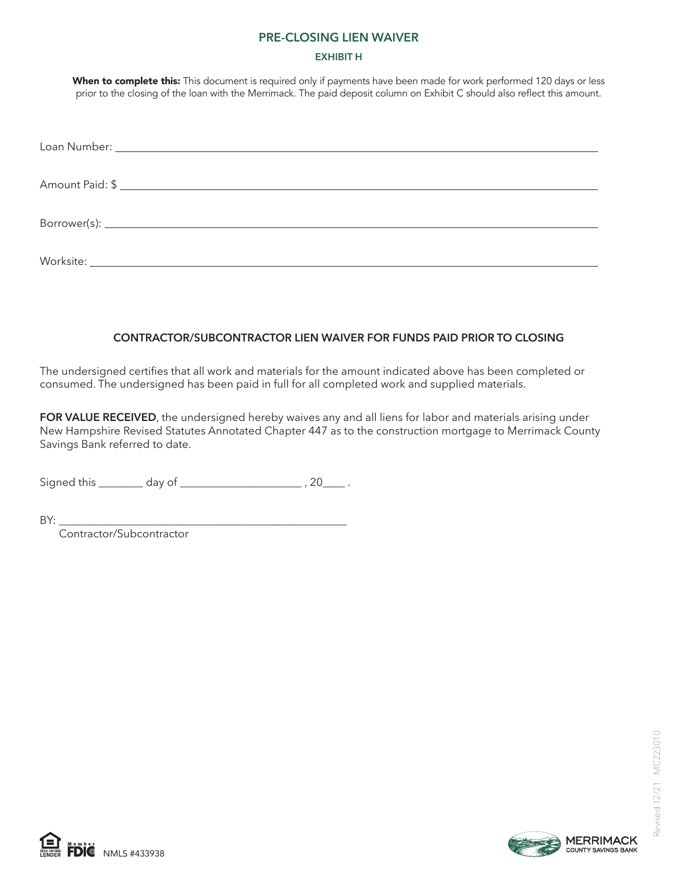#### **PRE-CLOSING LIEN WAIVER**

#### **EXHIBIT H**

When to complete this: This document is required only if payments have been made for work performed 120 days or less prior to the closing of the loan with the Merrimack. The paid deposit column on Exhibit C should also reflect this amount.

| Amount Paid: \$ |
|-----------------|
|                 |
|                 |

## **CONTRACTOR/SUBCONTRACTOR LIEN WAIVER FOR FUNDS PAID PRIOR TO CLOSING**

The undersigned certifies that all work and materials for the amount indicated above has been completed or consumed. The undersigned has been paid in full for all completed work and supplied materials.

**FOR VALUE RECEIVED**, the undersigned hereby waives any and all liens for labor and materials arising under New Hampshire Revised Statutes Annotated Chapter 447 as to the construction mortgage to Merrimack County Savings Bank referred to date.

Signed this day of the set of the set of the set of the set of the set of the set of the set of the set of the s

BY: \_\_\_\_\_\_\_\_\_\_\_\_\_\_\_\_\_\_\_\_\_\_\_\_\_\_\_\_\_\_\_\_\_\_\_\_\_\_\_\_\_\_\_\_\_\_\_\_\_\_\_\_

Contractor/Subcontractor



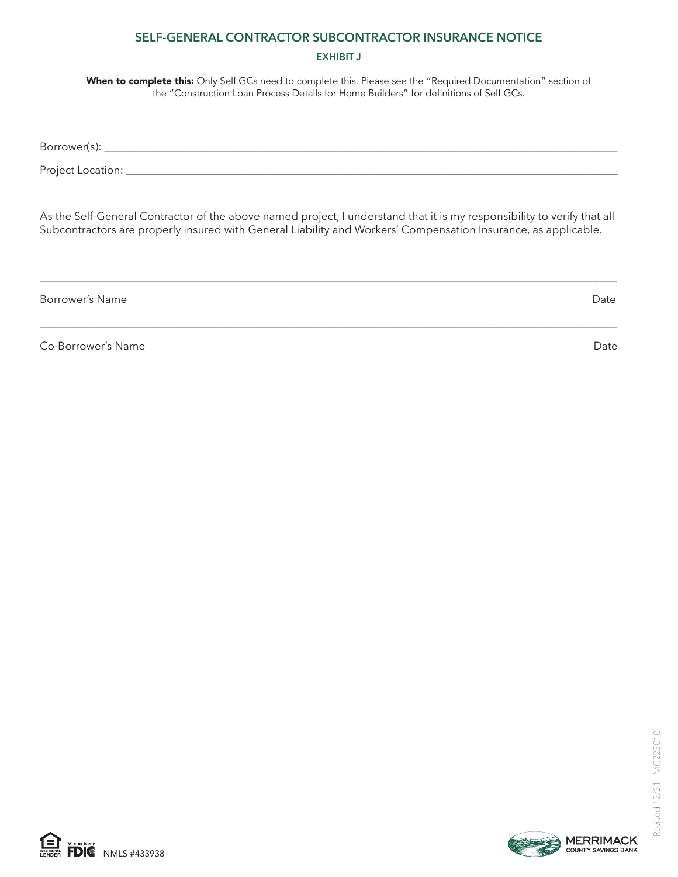## **SELF-GENERAL CONTRACTOR SUBCONTRACTOR INSURANCE NOTICE**

#### **EXHIBIT J**

When to complete this: Only Self GCs need to complete this. Please see the "Required Documentation" section of the "Construction Loan Process Details for Home Builders" for definitions of Self GCs.

Borrower(s): \_\_\_\_\_\_\_\_\_\_\_\_\_\_\_\_\_\_\_\_\_\_\_\_\_\_\_\_\_\_\_\_\_\_\_\_\_\_\_\_\_\_\_\_\_\_\_\_\_\_\_\_\_\_\_\_\_\_\_\_\_\_\_\_\_\_\_\_\_\_\_\_\_\_\_\_\_\_\_\_\_\_\_\_\_\_\_\_\_\_\_\_\_

Project Location: \_\_\_\_\_\_\_\_\_\_\_\_\_\_\_\_\_\_\_\_\_\_\_\_\_\_\_\_\_\_\_\_\_\_\_\_\_\_\_\_\_\_\_\_\_\_\_\_\_\_\_\_\_\_\_\_\_\_\_\_\_\_\_\_\_\_\_\_\_\_\_\_\_\_\_\_\_\_\_\_\_\_\_\_\_\_\_\_\_

As the Self-General Contractor of the above named project, I understand that it is my responsibility to verify that all Subcontractors are properly insured with General Liability and Workers' Compensation Insurance, as applicable.

\_\_\_\_\_\_\_\_\_\_\_\_\_\_\_\_\_\_\_\_\_\_\_\_\_\_\_\_\_\_\_\_\_\_\_\_\_\_\_\_\_\_\_\_\_\_\_\_\_\_\_\_\_\_\_\_\_\_\_\_\_\_\_\_\_\_\_\_\_\_\_\_\_\_\_\_\_\_\_\_\_\_\_\_\_\_\_\_\_\_\_\_\_\_\_\_\_\_\_\_\_\_\_\_

\_\_\_\_\_\_\_\_\_\_\_\_\_\_\_\_\_\_\_\_\_\_\_\_\_\_\_\_\_\_\_\_\_\_\_\_\_\_\_\_\_\_\_\_\_\_\_\_\_\_\_\_\_\_\_\_\_\_\_\_\_\_\_\_\_\_\_\_\_\_\_\_\_\_\_\_\_\_\_\_\_\_\_\_\_\_\_\_\_\_\_\_\_\_\_\_\_\_\_\_\_\_\_\_

Borrower's Name Date Date of the United States of the United States of the Date Date Date Date

Co-Borrower's Name Date Communication of the Communication of the Date Date Date Date Date